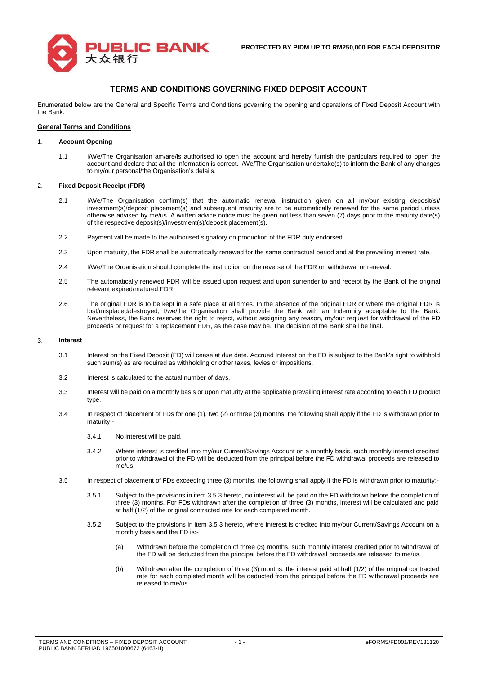# **TERMS AND CONDITIONS GOVERNING FIXED DEPOSIT ACCOUNT**

Enumerated below are the General and Specific Terms and Conditions governing the opening and operations of Fixed Deposit Account with the Bank.

#### **General Terms and Conditions**

#### 1. **Account Opening**

1.1 I/We/The Organisation am/are/is authorised to open the account and hereby furnish the particulars required to open the account and declare that all the information is correct. I/We/The Organisation undertake(s) to inform the Bank of any changes to my/our personal/the Organisation's details.

### 2. **Fixed Deposit Receipt (FDR)**

- 2.1 I/We/The Organisation confirm(s) that the automatic renewal instruction given on all my/our existing deposit(s)/ investment(s)/deposit placement(s) and subsequent maturity are to be automatically renewed for the same period unless otherwise advised by me/us. A written advice notice must be given not less than seven (7) days prior to the maturity date(s) of the respective deposit(s)/investment(s)/deposit placement(s).
- 2.2 Payment will be made to the authorised signatory on production of the FDR duly endorsed.
- 2.3 Upon maturity, the FDR shall be automatically renewed for the same contractual period and at the prevailing interest rate.
- 2.4 I/We/The Organisation should complete the instruction on the reverse of the FDR on withdrawal or renewal.
- 2.5 The automatically renewed FDR will be issued upon request and upon surrender to and receipt by the Bank of the original relevant expired/matured FDR.
- 2.6 The original FDR is to be kept in a safe place at all times. In the absence of the original FDR or where the original FDR is lost/misplaced/destroyed, I/we/the Organisation shall provide the Bank with an Indemnity acceptable to the Bank. Nevertheless, the Bank reserves the right to reject, without assigning any reason, my/our request for withdrawal of the FD proceeds or request for a replacement FDR, as the case may be. The decision of the Bank shall be final.

### 3. **Interest**

- 3.1 Interest on the Fixed Deposit (FD) will cease at due date. Accrued Interest on the FD is subject to the Bank's right to withhold such sum(s) as are required as withholding or other taxes, levies or impositions.
- 3.2 Interest is calculated to the actual number of days.
- 3.3 Interest will be paid on a monthly basis or upon maturity at the applicable prevailing interest rate according to each FD product type.
- 3.4 In respect of placement of FDs for one (1), two (2) or three (3) months, the following shall apply if the FD is withdrawn prior to maturity:-
	- 3.4.1 No interest will be paid.
	- 3.4.2 Where interest is credited into my/our Current/Savings Account on a monthly basis, such monthly interest credited prior to withdrawal of the FD will be deducted from the principal before the FD withdrawal proceeds are released to me/us.
- 3.5 In respect of placement of FDs exceeding three (3) months, the following shall apply if the FD is withdrawn prior to maturity:-
	- 3.5.1 Subject to the provisions in item 3.5.3 hereto, no interest will be paid on the FD withdrawn before the completion of three (3) months. For FDs withdrawn after the completion of three (3) months, interest will be calculated and paid at half (1/2) of the original contracted rate for each completed month.
	- 3.5.2 Subject to the provisions in item 3.5.3 hereto, where interest is credited into my/our Current/Savings Account on a monthly basis and the FD is:-
		- (a) Withdrawn before the completion of three (3) months, such monthly interest credited prior to withdrawal of the FD will be deducted from the principal before the FD withdrawal proceeds are released to me/us.
		- (b) Withdrawn after the completion of three (3) months, the interest paid at half (1/2) of the original contracted rate for each completed month will be deducted from the principal before the FD withdrawal proceeds are released to me/us.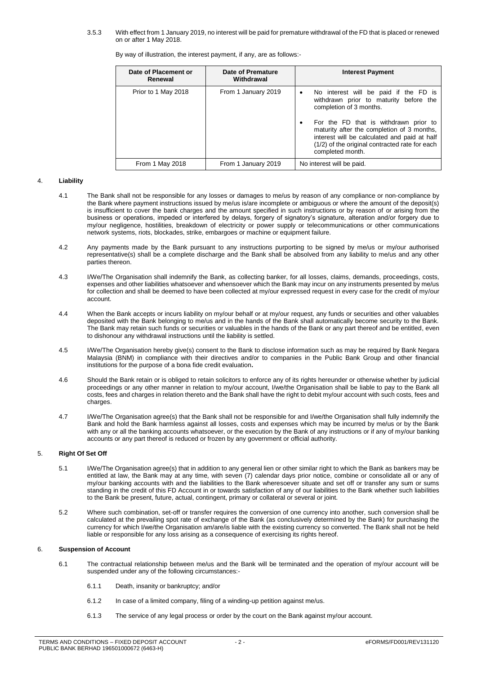3.5.3 With effect from 1 January 2019, no interest will be paid for premature withdrawal of the FD that is placed or renewed on or after 1 May 2018.

| By way of illustration, the interest payment, if any, are as follows:- |  |  |  |
|------------------------------------------------------------------------|--|--|--|
|------------------------------------------------------------------------|--|--|--|

| Date of Placement or<br>Renewal | Date of Premature<br>Withdrawal | <b>Interest Payment</b>                                                                                                                                                                                                                                                                                                              |
|---------------------------------|---------------------------------|--------------------------------------------------------------------------------------------------------------------------------------------------------------------------------------------------------------------------------------------------------------------------------------------------------------------------------------|
| Prior to 1 May 2018             | From 1 January 2019             | No interest will be paid if the FD is<br>$\bullet$<br>withdrawn prior to maturity before the<br>completion of 3 months.<br>For the FD that is withdrawn prior to<br>maturity after the completion of 3 months,<br>interest will be calculated and paid at half<br>(1/2) of the original contracted rate for each<br>completed month. |
| From 1 May 2018                 | From 1 January 2019             | No interest will be paid.                                                                                                                                                                                                                                                                                                            |

### 4. **Liability**

- 4.1 The Bank shall not be responsible for any losses or damages to me/us by reason of any compliance or non-compliance by the Bank where payment instructions issued by me/us is/are incomplete or ambiguous or where the amount of the deposit(s) is insufficient to cover the bank charges and the amount specified in such instructions or by reason of or arising from the business or operations, impeded or interfered by delays, forgery of signatory's signature, alteration and/or forgery due to my/our negligence, hostilities, breakdown of electricity or power supply or telecommunications or other communications network systems, riots, blockades, strike, embargoes or machine or equipment failure.
- 4.2 Any payments made by the Bank pursuant to any instructions purporting to be signed by me/us or my/our authorised representative(s) shall be a complete discharge and the Bank shall be absolved from any liability to me/us and any other parties thereon.
- 4.3 I/We/The Organisation shall indemnify the Bank, as collecting banker, for all losses, claims, demands, proceedings, costs, expenses and other liabilities whatsoever and whensoever which the Bank may incur on any instruments presented by me/us for collection and shall be deemed to have been collected at my/our expressed request in every case for the credit of my/our account.
- 4.4 When the Bank accepts or incurs liability on my/our behalf or at my/our request, any funds or securities and other valuables deposited with the Bank belonging to me/us and in the hands of the Bank shall automatically become security to the Bank. The Bank may retain such funds or securities or valuables in the hands of the Bank or any part thereof and be entitled, even to dishonour any withdrawal instructions until the liability is settled.
- 4.5 I/We/The Organisation hereby give(s) consent to the Bank to disclose information such as may be required by Bank Negara Malaysia (BNM) in compliance with their directives and/or to companies in the Public Bank Group and other financial institutions for the purpose of a bona fide credit evaluation**.**
- 4.6 Should the Bank retain or is obliged to retain solicitors to enforce any of its rights hereunder or otherwise whether by judicial proceedings or any other manner in relation to my/our account, I/we/the Organisation shall be liable to pay to the Bank all costs, fees and charges in relation thereto and the Bank shall have the right to debit my/our account with such costs, fees and charges.
- 4.7 I/We/The Organisation agree(s) that the Bank shall not be responsible for and I/we/the Organisation shall fully indemnify the Bank and hold the Bank harmless against all losses, costs and expenses which may be incurred by me/us or by the Bank with any or all the banking accounts whatsoever, or the execution by the Bank of any instructions or if any of my/our banking accounts or any part thereof is reduced or frozen by any government or official authority.

### 5. **Right Of Set Off**

- 5.1 I/We/The Organisation agree(s) that in addition to any general lien or other similar right to which the Bank as bankers may be entitled at law, the Bank may at any time, with seven (7) calendar days prior notice, combine or consolidate all or any of my/our banking accounts with and the liabilities to the Bank wheresoever situate and set off or transfer any sum or sums standing in the credit of this FD Account in or towards satisfaction of any of our liabilities to the Bank whether such liabilities to the Bank be present, future, actual, contingent, primary or collateral or several or joint.
- 5.2 Where such combination, set-off or transfer requires the conversion of one currency into another, such conversion shall be calculated at the prevailing spot rate of exchange of the Bank (as conclusively determined by the Bank) for purchasing the currency for which I/we/the Organisation am/are/is liable with the existing currency so converted. The Bank shall not be held liable or responsible for any loss arising as a consequence of exercising its rights hereof.

# 6. **Suspension of Account**

- 6.1 The contractual relationship between me/us and the Bank will be terminated and the operation of my/our account will be suspended under any of the following circumstances:-
	- 6.1.1 Death, insanity or bankruptcy; and/or
	- 6.1.2 In case of a limited company, filing of a winding-up petition against me/us.
	- 6.1.3 The service of any legal process or order by the court on the Bank against my/our account.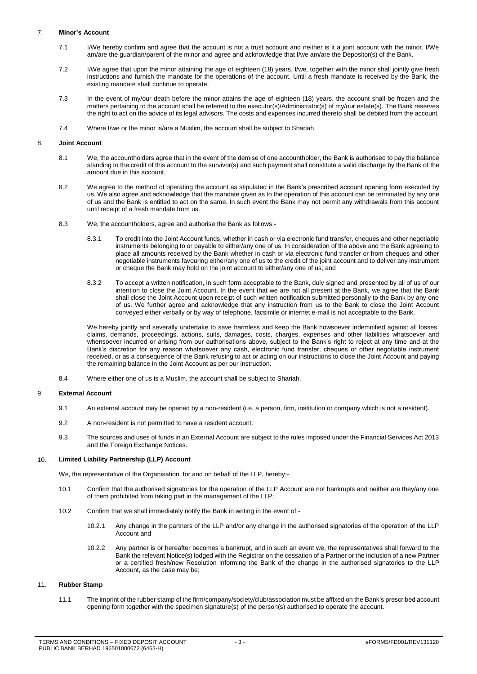# 7. **Minor's Account**

- 7.1 I/We hereby confirm and agree that the account is not a trust account and neither is it a joint account with the minor. I/We am/are the guardian/parent of the minor and agree and acknowledge that I/we am/are the Depositor(s) of the Bank.
- 7.2 I/We agree that upon the minor attaining the age of eighteen (18) years, I/we, together with the minor shall jointly give fresh instructions and furnish the mandate for the operations of the account. Until a fresh mandate is received by the Bank, the existing mandate shall continue to operate.
- 7.3 In the event of my/our death before the minor attains the age of eighteen (18) years, the account shall be frozen and the matters pertaining to the account shall be referred to the executor(s)/Administrator(s) of my/our estate(s). The Bank reserves the right to act on the advice of its legal advisors. The costs and expenses incurred thereto shall be debited from the account.
- 7.4 Where I/we or the minor is/are a Muslim, the account shall be subject to Shariah.

### 8. **Joint Account**

- 8.1 We, the accountholders agree that in the event of the demise of one accountholder, the Bank is authorised to pay the balance standing to the credit of this account to the survivor(s) and such payment shall constitute a valid discharge by the Bank of the amount due in this account.
- 8.2 We agree to the method of operating the account as stipulated in the Bank's prescribed account opening form executed by us. We also agree and acknowledge that the mandate given as to the operation of this account can be terminated by any one of us and the Bank is entitled to act on the same. In such event the Bank may not permit any withdrawals from this account until receipt of a fresh mandate from us.
- 8.3 We, the accountholders, agree and authorise the Bank as follows:-
	- 8.3.1 To credit into the Joint Account funds, whether in cash or via electronic fund transfer, cheques and other negotiable instruments belonging to or payable to either/any one of us. In consideration of the above and the Bank agreeing to place all amounts received by the Bank whether in cash or via electronic fund transfer or from cheques and other negotiable instruments favouring either/any one of us to the credit of the joint account and to deliver any instrument or cheque the Bank may hold on the joint account to either/any one of us; and
	- 8.3.2 To accept a written notification, in such form acceptable to the Bank, duly signed and presented by all of us of our intention to close the Joint Account. In the event that we are not all present at the Bank, we agree that the Bank shall close the Joint Account upon receipt of such written notification submitted personally to the Bank by any one of us. We further agree and acknowledge that any instruction from us to the Bank to close the Joint Account conveyed either verbally or by way of telephone, facsimile or internet e-mail is not acceptable to the Bank.

We hereby jointly and severally undertake to save harmless and keep the Bank howsoever indemnified against all losses, claims, demands, proceedings, actions, suits, damages, costs, charges, expenses and other liabilities whatsoever and whensoever incurred or arising from our authorisations above, subject to the Bank's right to reject at any time and at the Bank's discretion for any reason whatsoever any cash, electronic fund transfer, cheques or other negotiable instrument received, or as a consequence of the Bank refusing to act or acting on our instructions to close the Joint Account and paying the remaining balance in the Joint Account as per our instruction.

8.4 Where either one of us is a Muslim, the account shall be subject to Shariah.

# 9. **External Account**

- 9.1 An external account may be opened by a non-resident (i.e. a person, firm, institution or company which is not a resident).
- 9.2 A non-resident is not permitted to have a resident account.
- 9.3 The sources and uses of funds in an External Account are subject to the rules imposed under the Financial Services Act 2013 and the Foreign Exchange Notices.

# 10. **Limited Liability Partnership (LLP) Account**

We, the representative of the Organisation, for and on behalf of the LLP, hereby:-

- 10.1 Confirm that the authorised signatories for the operation of the LLP Account are not bankrupts and neither are they/any one of them prohibited from taking part in the management of the LLP;
- 10.2 Confirm that we shall immediately notify the Bank in writing in the event of:-
	- 10.2.1 Any change in the partners of the LLP and/or any change in the authorised signatories of the operation of the LLP Account and
	- 10.2.2 Any partner is or hereafter becomes a bankrupt, and in such an event we, the representatives shall forward to the Bank the relevant Notice(s) lodged with the Registrar on the cessation of a Partner or the inclusion of a new Partner or a certified fresh/new Resolution informing the Bank of the change in the authorised signatories to the LLP Account, as the case may be;

# 11. **Rubber Stamp**

11.1 The imprint of the rubber stamp of the firm/company/society/club/association must be affixed on the Bank's prescribed account opening form together with the specimen signature(s) of the person(s) authorised to operate the account.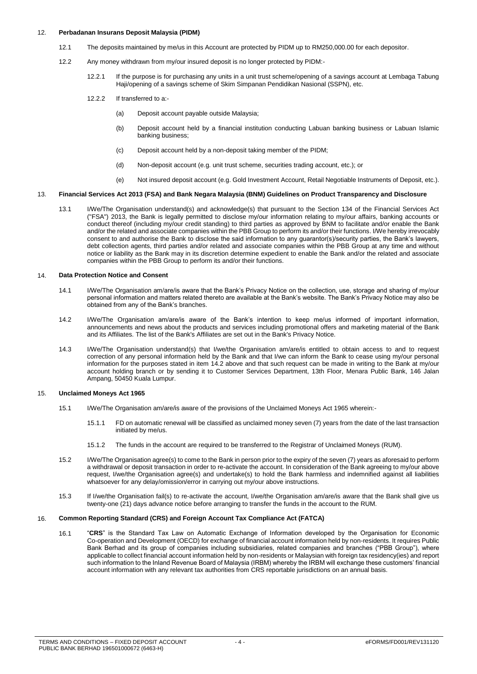### 12. **Perbadanan Insurans Deposit Malaysia (PIDM)**

- 12.1 The deposits maintained by me/us in this Account are protected by PIDM up to RM250,000.00 for each depositor.
- 12.2 Any money withdrawn from my/our insured deposit is no longer protected by PIDM:-
	- 12.2.1 If the purpose is for purchasing any units in a unit trust scheme/opening of a savings account at Lembaga Tabung Haji/opening of a savings scheme of Skim Simpanan Pendidikan Nasional (SSPN), etc.
	- 12.2.2 If transferred to a:-
		- (a) Deposit account payable outside Malaysia;
		- (b) Deposit account held by a financial institution conducting Labuan banking business or Labuan Islamic banking business;
		- (c) Deposit account held by a non-deposit taking member of the PIDM;
		- (d) Non-deposit account (e.g. unit trust scheme, securities trading account, etc.); or
		- (e) Not insured deposit account (e.g. Gold Investment Account, Retail Negotiable Instruments of Deposit, etc.).

#### 13. **Financial Services Act 2013 (FSA) and Bank Negara Malaysia (BNM) Guidelines on Product Transparency and Disclosure**

13.1 I/We/The Organisation understand(s) and acknowledge(s) that pursuant to the Section 134 of the Financial Services Act ("FSA") 2013, the Bank is legally permitted to disclose my/our information relating to my/our affairs, banking accounts or conduct thereof (including my/our credit standing) to third parties as approved by BNM to facilitate and/or enable the Bank and/or the related and associate companies within the PBB Group to perform its and/or their functions. I/We hereby irrevocably consent to and authorise the Bank to disclose the said information to any guarantor(s)/security parties, the Bank's lawyers, debt collection agents, third parties and/or related and associate companies within the PBB Group at any time and without notice or liability as the Bank may in its discretion determine expedient to enable the Bank and/or the related and associate companies within the PBB Group to perform its and/or their functions.

### 14. **Data Protection Notice and Consent**

- 14.1 I/We/The Organisation am/are/is aware that the Bank's Privacy Notice on the collection, use, storage and sharing of my/our personal information and matters related thereto are available at the Bank's website. The Bank's Privacy Notice may also be obtained from any of the Bank's branches.
- 14.2 I/We/The Organisation am/are/is aware of the Bank's intention to keep me/us informed of important information, announcements and news about the products and services including promotional offers and marketing material of the Bank and its Affiliates. The list of the Bank's Affiliates are set out in the Bank's Privacy Notice.
- 14.3 I/We/The Organisation understand(s) that I/we/the Organisation am/are/is entitled to obtain access to and to request correction of any personal information held by the Bank and that I/we can inform the Bank to cease using my/our personal information for the purposes stated in item 14.2 above and that such request can be made in writing to the Bank at my/our account holding branch or by sending it to Customer Services Department, 13th Floor, Menara Public Bank, 146 Jalan Ampang, 50450 Kuala Lumpur.

#### 15. **Unclaimed Moneys Act 1965**

- 15.1 I/We/The Organisation am/are/is aware of the provisions of the Unclaimed Moneys Act 1965 wherein:-
	- 15.1.1 FD on automatic renewal will be classified as unclaimed money seven (7) years from the date of the last transaction initiated by me/us.
	- 15.1.2 The funds in the account are required to be transferred to the Registrar of Unclaimed Moneys (RUM).
- 15.2 I/We/The Organisation agree(s) to come to the Bank in person prior to the expiry of the seven (7) years as aforesaid to perform a withdrawal or deposit transaction in order to re-activate the account. In consideration of the Bank agreeing to my/our above request, I/we/the Organisation agree(s) and undertake(s) to hold the Bank harmless and indemnified against all liabilities whatsoever for any delay/omission/error in carrying out my/our above instructions.
- 15.3 If I/we/the Organisation fail(s) to re-activate the account, I/we/the Organisation am/are/is aware that the Bank shall give us twenty-one (21) days advance notice before arranging to transfer the funds in the account to the RUM.

#### 16. **Common Reporting Standard (CRS) and Foreign Account Tax Compliance Act (FATCA)**

16.1 "**CRS**" is the Standard Tax Law on Automatic Exchange of Information developed by the Organisation for Economic Co-operation and Development (OECD) for exchange of financial account information held by non-residents. It requires Public Bank Berhad and its group of companies including subsidiaries, related companies and branches ("PBB Group"), where applicable to collect financial account information held by non-residents or Malaysian with foreign tax residency(ies) and report such information to the Inland Revenue Board of Malaysia (IRBM) whereby the IRBM will exchange these customers' financial account information with any relevant tax authorities from CRS reportable jurisdictions on an annual basis.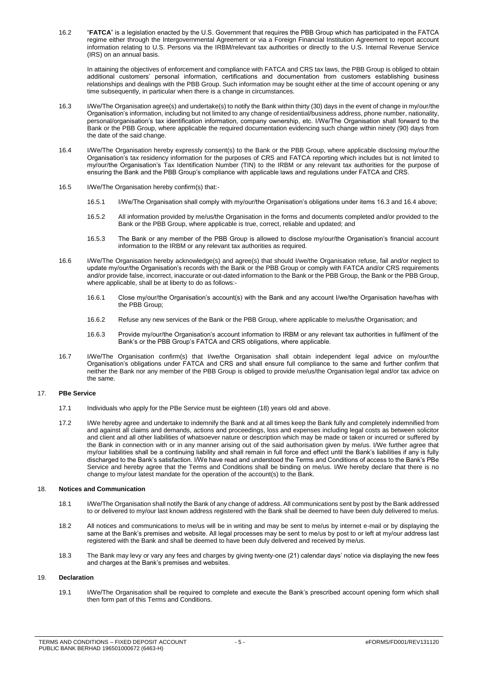16.2 "**FATCA**" is a legislation enacted by the U.S. Government that requires the PBB Group which has participated in the FATCA regime either through the Intergovernmental Agreement or via a Foreign Financial Institution Agreement to report account information relating to U.S. Persons via the IRBM/relevant tax authorities or directly to the U.S. Internal Revenue Service (IRS) on an annual basis.

In attaining the objectives of enforcement and compliance with FATCA and CRS tax laws, the PBB Group is obliged to obtain additional customers' personal information, certifications and documentation from customers establishing business relationships and dealings with the PBB Group. Such information may be sought either at the time of account opening or any time subsequently, in particular when there is a change in circumstances.

- 16.3 I/We/The Organisation agree(s) and undertake(s) to notify the Bank within thirty (30) days in the event of change in my/our/the Organisation's information, including but not limited to any change of residential/business address, phone number, nationality, personal/organisation's tax identification information, company ownership, etc. I/We/The Organisation shall forward to the Bank or the PBB Group, where applicable the required documentation evidencing such change within ninety (90) days from the date of the said change.
- 16.4 I/We/The Organisation hereby expressly consent(s) to the Bank or the PBB Group, where applicable disclosing my/our/the Organisation's tax residency information for the purposes of CRS and FATCA reporting which includes but is not limited to my/our/the Organisation's Tax Identification Number (TIN) to the IRBM or any relevant tax authorities for the purpose of ensuring the Bank and the PBB Group's compliance with applicable laws and regulations under FATCA and CRS.
- 16.5 I/We/The Organisation hereby confirm(s) that:-
	- 16.5.1 I/We/The Organisation shall comply with my/our/the Organisation's obligations under items 16.3 and 16.4 above;
	- 16.5.2 All information provided by me/us/the Organisation in the forms and documents completed and/or provided to the Bank or the PBB Group, where applicable is true, correct, reliable and updated; and
	- 16.5.3 The Bank or any member of the PBB Group is allowed to disclose my/our/the Organisation's financial account information to the IRBM or any relevant tax authorities as required.
- 16.6 I/We/The Organisation hereby acknowledge(s) and agree(s) that should I/we/the Organisation refuse, fail and/or neglect to update my/our/the Organisation's records with the Bank or the PBB Group or comply with FATCA and/or CRS requirements and/or provide false, incorrect, inaccurate or out-dated information to the Bank or the PBB Group, the Bank or the PBB Group, where applicable, shall be at liberty to do as follows:-
	- 16.6.1 Close my/our/the Organisation's account(s) with the Bank and any account I/we/the Organisation have/has with the PBB Group;
	- 16.6.2 Refuse any new services of the Bank or the PBB Group, where applicable to me/us/the Organisation; and
	- 16.6.3 Provide my/our/the Organisation's account information to IRBM or any relevant tax authorities in fulfilment of the Bank's or the PBB Group's FATCA and CRS obligations, where applicable.
- 16.7 I/We/The Organisation confirm(s) that I/we/the Organisation shall obtain independent legal advice on my/our/the Organisation's obligations under FATCA and CRS and shall ensure full compliance to the same and further confirm that neither the Bank nor any member of the PBB Group is obliged to provide me/us/the Organisation legal and/or tax advice on the same.

#### 17. **PBe Service**

- 17.1 Individuals who apply for the PBe Service must be eighteen (18) years old and above.
- 17.2 I/We hereby agree and undertake to indemnify the Bank and at all times keep the Bank fully and completely indemnified from and against all claims and demands, actions and proceedings, loss and expenses including legal costs as between solicitor and client and all other liabilities of whatsoever nature or description which may be made or taken or incurred or suffered by the Bank in connection with or in any manner arising out of the said authorisation given by me/us. I/We further agree that my/our liabilities shall be a continuing liability and shall remain in full force and effect until the Bank's liabilities if any is fully discharged to the Bank's satisfaction. I/We have read and understood the Terms and Conditions of access to the Bank's PBe Service and hereby agree that the Terms and Conditions shall be binding on me/us. I/We hereby declare that there is no change to my/our latest mandate for the operation of the account(s) to the Bank.

#### 18. **Notices and Communication**

- 18.1 I/We/The Organisation shall notify the Bank of any change of address. All communications sent by post by the Bank addressed to or delivered to my/our last known address registered with the Bank shall be deemed to have been duly delivered to me/us.
- 18.2 All notices and communications to me/us will be in writing and may be sent to me/us by internet e-mail or by displaying the same at the Bank's premises and website. All legal processes may be sent to me/us by post to or left at my/our address last registered with the Bank and shall be deemed to have been duly delivered and received by me/us.
- 18.3 The Bank may levy or vary any fees and charges by giving twenty-one (21) calendar days' notice via displaying the new fees and charges at the Bank's premises and websites.

# 19. **Declaration**

19.1 I/We/The Organisation shall be required to complete and execute the Bank's prescribed account opening form which shall then form part of this Terms and Conditions.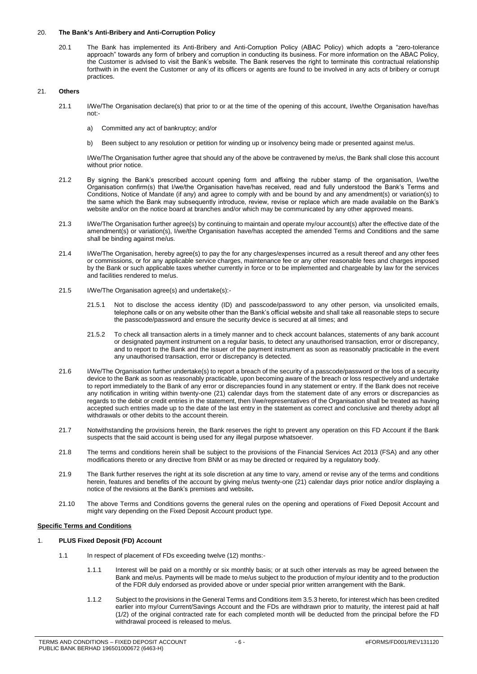### 20. **The Bank's Anti-Bribery and Anti-Corruption Policy**

20.1 The Bank has implemented its Anti-Bribery and Anti-Corruption Policy (ABAC Policy) which adopts a "zero-tolerance approach" towards any form of bribery and corruption in conducting its business. For more information on the ABAC Policy, the Customer is advised to visit the Bank's website. The Bank reserves the right to terminate this contractual relationship forthwith in the event the Customer or any of its officers or agents are found to be involved in any acts of bribery or corrupt practices.

# 21. **Others**

- 21.1 I/We/The Organisation declare(s) that prior to or at the time of the opening of this account, I/we/the Organisation have/has not:
	- a) Committed any act of bankruptcy; and/or
	- b) Been subject to any resolution or petition for winding up or insolvency being made or presented against me/us.

I/We/The Organisation further agree that should any of the above be contravened by me/us, the Bank shall close this account without prior notice.

- 21.2 By signing the Bank's prescribed account opening form and affixing the rubber stamp of the organisation, I/we/the Organisation confirm(s) that I/we/the Organisation have/has received, read and fully understood the Bank's Terms and Conditions, Notice of Mandate (if any) and agree to comply with and be bound by and any amendment(s) or variation(s) to the same which the Bank may subsequently introduce, review, revise or replace which are made available on the Bank's website and/or on the notice board at branches and/or which may be communicated by any other approved means.
- 21.3 I/We/The Organisation further agree(s) by continuing to maintain and operate my/our account(s) after the effective date of the amendment(s) or variation(s), I/we/the Organisation have/has accepted the amended Terms and Conditions and the same shall be binding against me/us.
- 21.4 I/We/The Organisation, hereby agree(s) to pay the for any charges/expenses incurred as a result thereof and any other fees or commissions, or for any applicable service charges, maintenance fee or any other reasonable fees and charges imposed by the Bank or such applicable taxes whether currently in force or to be implemented and chargeable by law for the services and facilities rendered to me/us.
- 21.5 I/We/The Organisation agree(s) and undertake(s):-
	- 21.5.1 Not to disclose the access identity (ID) and passcode/password to any other person, via unsolicited emails, telephone calls or on any website other than the Bank's official website and shall take all reasonable steps to secure the passcode/password and ensure the security device is secured at all times; and
	- 21.5.2 To check all transaction alerts in a timely manner and to check account balances, statements of any bank account or designated payment instrument on a regular basis, to detect any unauthorised transaction, error or discrepancy, and to report to the Bank and the issuer of the payment instrument as soon as reasonably practicable in the event any unauthorised transaction, error or discrepancy is detected.
- 21.6 I/We/The Organisation further undertake(s) to report a breach of the security of a passcode/password or the loss of a security device to the Bank as soon as reasonably practicable, upon becoming aware of the breach or loss respectively and undertake to report immediately to the Bank of any error or discrepancies found in any statement or entry. If the Bank does not receive any notification in writing within twenty-one (21) calendar days from the statement date of any errors or discrepancies as regards to the debit or credit entries in the statement, then I/we/representatives of the Organisation shall be treated as having accepted such entries made up to the date of the last entry in the statement as correct and conclusive and thereby adopt all withdrawals or other debits to the account therein.
- 21.7 Notwithstanding the provisions herein, the Bank reserves the right to prevent any operation on this FD Account if the Bank suspects that the said account is being used for any illegal purpose whatsoever.
- 21.8 The terms and conditions herein shall be subject to the provisions of the Financial Services Act 2013 (FSA) and any other modifications thereto or any directive from BNM or as may be directed or required by a regulatory body.
- 21.9 The Bank further reserves the right at its sole discretion at any time to vary, amend or revise any of the terms and conditions herein, features and benefits of the account by giving me/us twenty-one (21) calendar days prior notice and/or displaying a notice of the revisions at the Bank's premises and website**.**
- 21.10 The above Terms and Conditions governs the general rules on the opening and operations of Fixed Deposit Account and might vary depending on the Fixed Deposit Account product type.

# **Specific Terms and Conditions**

# 1. **PLUS Fixed Deposit (FD) Account**

- 1.1 In respect of placement of FDs exceeding twelve (12) months:-
	- 1.1.1 Interest will be paid on a monthly or six monthly basis; or at such other intervals as may be agreed between the Bank and me/us. Payments will be made to me/us subject to the production of my/our identity and to the production of the FDR duly endorsed as provided above or under special prior written arrangement with the Bank.
	- 1.1.2 Subject to the provisions in the General Terms and Conditions item 3.5.3 hereto, for interest which has been credited earlier into my/our Current/Savings Account and the FDs are withdrawn prior to maturity, the interest paid at half (1/2) of the original contracted rate for each completed month will be deducted from the principal before the FD withdrawal proceed is released to me/us.